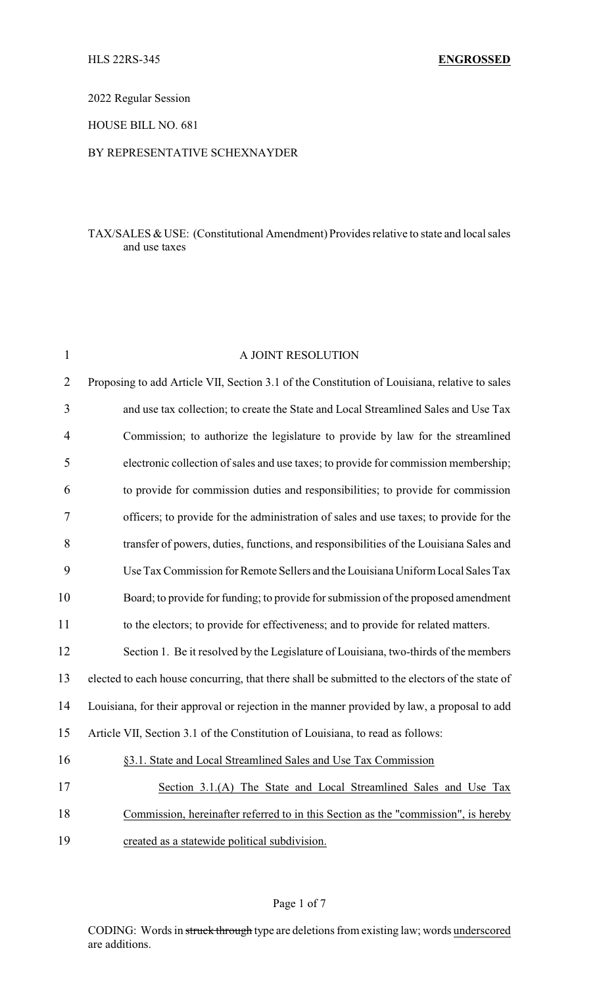2022 Regular Session

HOUSE BILL NO. 681

# BY REPRESENTATIVE SCHEXNAYDER

# TAX/SALES & USE: (Constitutional Amendment) Provides relative to state and local sales and use taxes

| $\mathbf{1}$   | A JOINT RESOLUTION                                                                              |
|----------------|-------------------------------------------------------------------------------------------------|
| $\overline{2}$ | Proposing to add Article VII, Section 3.1 of the Constitution of Louisiana, relative to sales   |
| 3              | and use tax collection; to create the State and Local Streamlined Sales and Use Tax             |
| 4              | Commission; to authorize the legislature to provide by law for the streamlined                  |
| 5              | electronic collection of sales and use taxes; to provide for commission membership;             |
| 6              | to provide for commission duties and responsibilities; to provide for commission                |
| 7              | officers; to provide for the administration of sales and use taxes; to provide for the          |
| 8              | transfer of powers, duties, functions, and responsibilities of the Louisiana Sales and          |
| 9              | Use Tax Commission for Remote Sellers and the Louisiana Uniform Local Sales Tax                 |
| 10             | Board; to provide for funding; to provide for submission of the proposed amendment              |
| 11             | to the electors; to provide for effectiveness; and to provide for related matters.              |
| 12             | Section 1. Be it resolved by the Legislature of Louisiana, two-thirds of the members            |
| 13             | elected to each house concurring, that there shall be submitted to the electors of the state of |
| 14             | Louisiana, for their approval or rejection in the manner provided by law, a proposal to add     |
| 15             | Article VII, Section 3.1 of the Constitution of Louisiana, to read as follows:                  |
| 16             | §3.1. State and Local Streamlined Sales and Use Tax Commission                                  |
| 17             | Section 3.1.(A) The State and Local Streamlined Sales and Use Tax                               |
| 18             | Commission, hereinafter referred to in this Section as the "commission", is hereby              |
| 19             | created as a statewide political subdivision.                                                   |

### Page 1 of 7

CODING: Words in struck through type are deletions from existing law; words underscored are additions.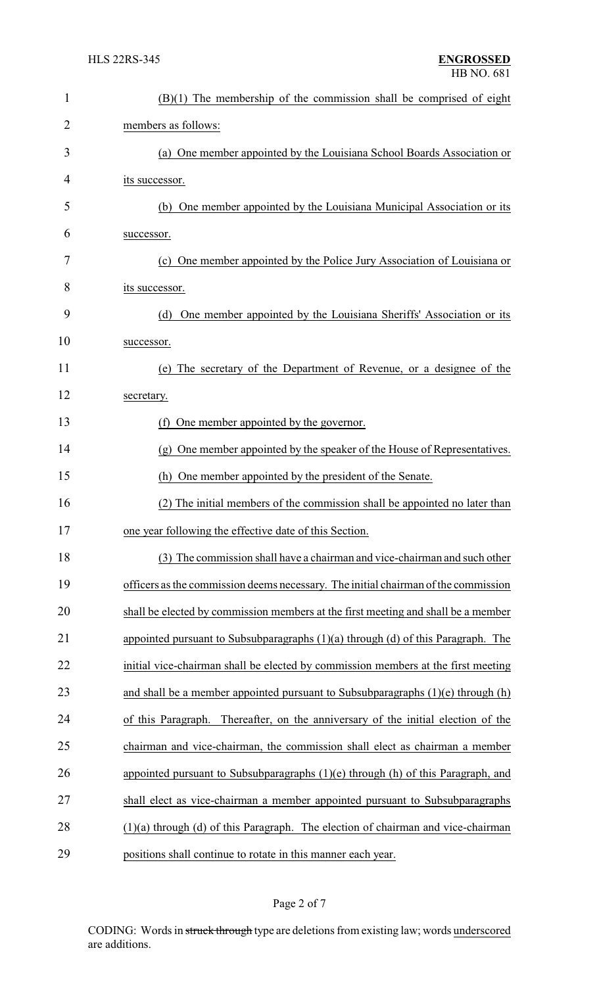| $\mathbf{1}$ | $(B)(1)$ The membership of the commission shall be comprised of eight                |
|--------------|--------------------------------------------------------------------------------------|
| 2            | members as follows:                                                                  |
| 3            | (a) One member appointed by the Louisiana School Boards Association or               |
| 4            | its successor.                                                                       |
| 5            | (b) One member appointed by the Louisiana Municipal Association or its               |
| 6            | successor.                                                                           |
| 7            | (c) One member appointed by the Police Jury Association of Louisiana or              |
| 8            | its successor.                                                                       |
| 9            | One member appointed by the Louisiana Sheriffs' Association or its<br>(d)            |
| 10           | successor.                                                                           |
| 11           | (e) The secretary of the Department of Revenue, or a designee of the                 |
| 12           | secretary.                                                                           |
| 13           | One member appointed by the governor.<br>(f)                                         |
| 14           | (g) One member appointed by the speaker of the House of Representatives.             |
| 15           | (h) One member appointed by the president of the Senate.                             |
| 16           | (2) The initial members of the commission shall be appointed no later than           |
| 17           | one year following the effective date of this Section.                               |
| 18           | (3) The commission shall have a chairman and vice-chairman and such other            |
| 19           | officers as the commission deems necessary. The initial chairman of the commission   |
| 20           | shall be elected by commission members at the first meeting and shall be a member    |
| 21           | appointed pursuant to Subsubparagraphs $(1)(a)$ through $(d)$ of this Paragraph. The |
| 22           | initial vice-chairman shall be elected by commission members at the first meeting    |
| 23           | and shall be a member appointed pursuant to Subsubparagraphs $(1)(e)$ through $(h)$  |
| 24           | Thereafter, on the anniversary of the initial election of the<br>of this Paragraph.  |
| 25           | chairman and vice-chairman, the commission shall elect as chairman a member          |
| 26           | appointed pursuant to Subsubparagraphs $(1)(e)$ through $(h)$ of this Paragraph, and |
| 27           | shall elect as vice-chairman a member appointed pursuant to Subsubparagraphs         |
| 28           | $(1)(a)$ through $(d)$ of this Paragraph. The election of chairman and vice-chairman |
| 29           | positions shall continue to rotate in this manner each year.                         |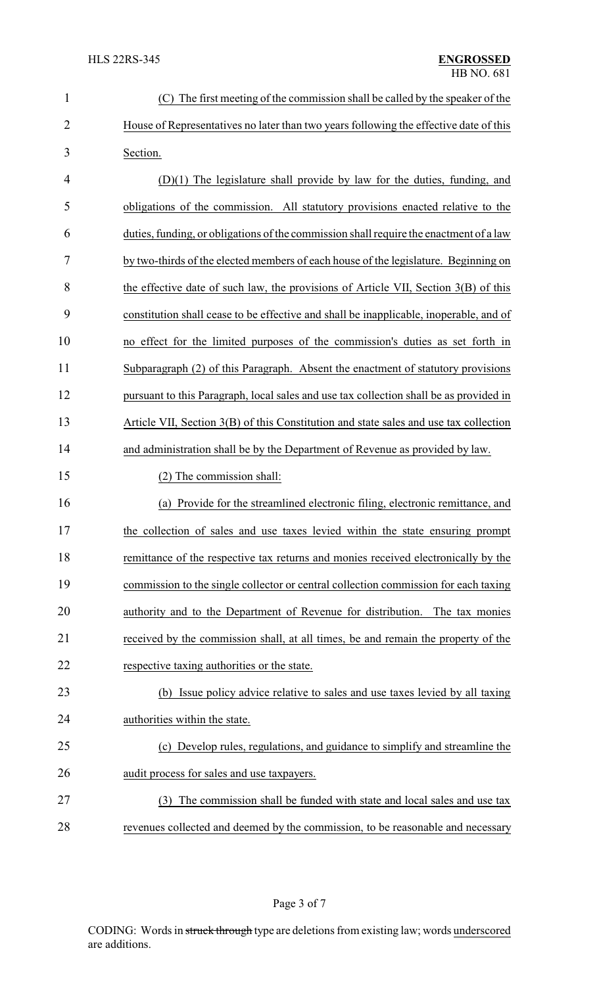| 1              | The first meeting of the commission shall be called by the speaker of the              |
|----------------|----------------------------------------------------------------------------------------|
| $\overline{2}$ | House of Representatives no later than two years following the effective date of this  |
| 3              | Section.                                                                               |
| 4              | $(D)(1)$ The legislature shall provide by law for the duties, funding, and             |
| 5              | obligations of the commission. All statutory provisions enacted relative to the        |
| 6              | duties, funding, or obligations of the commission shall require the enactment of a law |
| 7              | by two-thirds of the elected members of each house of the legislature. Beginning on    |
| 8              | the effective date of such law, the provisions of Article VII, Section 3(B) of this    |
| 9              | constitution shall cease to be effective and shall be inapplicable, inoperable, and of |
| 10             | no effect for the limited purposes of the commission's duties as set forth in          |
| 11             | Subparagraph (2) of this Paragraph. Absent the enactment of statutory provisions       |
| 12             | pursuant to this Paragraph, local sales and use tax collection shall be as provided in |
| 13             | Article VII, Section 3(B) of this Constitution and state sales and use tax collection  |
| 14             | and administration shall be by the Department of Revenue as provided by law.           |
| 15             | (2) The commission shall:                                                              |
| 16             | (a) Provide for the streamlined electronic filing, electronic remittance, and          |
| 17             | the collection of sales and use taxes levied within the state ensuring prompt          |
| 18             | remittance of the respective tax returns and monies received electronically by the     |
| 19             | commission to the single collector or central collection commission for each taxing    |
| 20             | authority and to the Department of Revenue for distribution. The tax monies            |
| 21             | received by the commission shall, at all times, be and remain the property of the      |
| 22             | respective taxing authorities or the state.                                            |
| 23             | (b) Issue policy advice relative to sales and use taxes levied by all taxing           |
| 24             | authorities within the state.                                                          |
| 25             | (c) Develop rules, regulations, and guidance to simplify and streamline the            |
| 26             | audit process for sales and use taxpayers.                                             |
| 27             | The commission shall be funded with state and local sales and use tax<br>(3)           |
| 28             | revenues collected and deemed by the commission, to be reasonable and necessary        |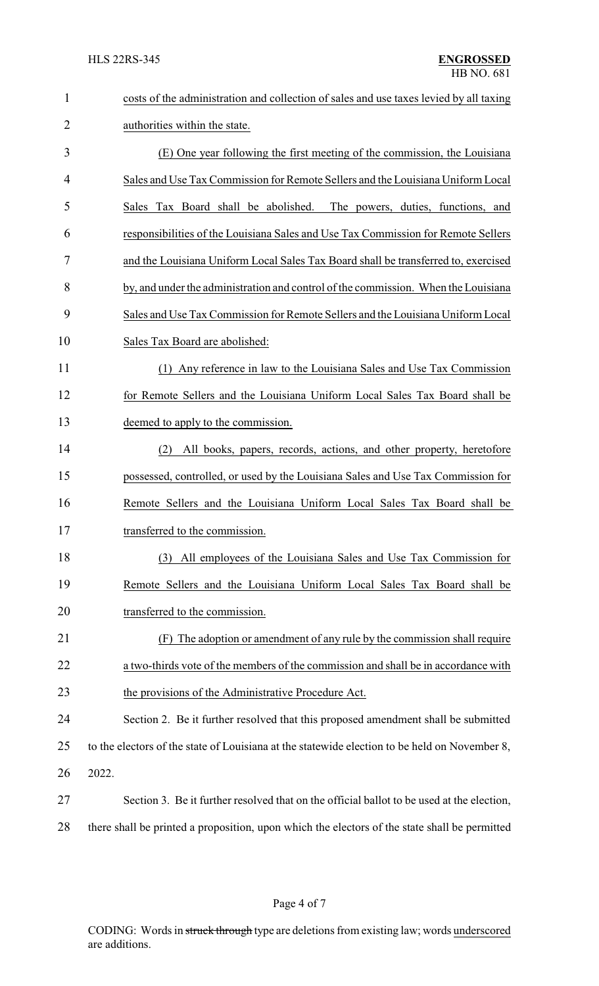| $\mathbf{1}$ | costs of the administration and collection of sales and use taxes levied by all taxing        |
|--------------|-----------------------------------------------------------------------------------------------|
| 2            | authorities within the state.                                                                 |
| 3            | (E) One year following the first meeting of the commission, the Louisiana                     |
| 4            | Sales and Use Tax Commission for Remote Sellers and the Louisiana Uniform Local               |
| 5            | Sales Tax Board shall be abolished. The powers, duties, functions, and                        |
| 6            | responsibilities of the Louisiana Sales and Use Tax Commission for Remote Sellers             |
| 7            | and the Louisiana Uniform Local Sales Tax Board shall be transferred to, exercised            |
| 8            | by, and under the administration and control of the commission. When the Louisiana            |
| 9            | Sales and Use Tax Commission for Remote Sellers and the Louisiana Uniform Local               |
| 10           | Sales Tax Board are abolished:                                                                |
| 11           | (1) Any reference in law to the Louisiana Sales and Use Tax Commission                        |
| 12           | for Remote Sellers and the Louisiana Uniform Local Sales Tax Board shall be                   |
| 13           | deemed to apply to the commission.                                                            |
| 14           | All books, papers, records, actions, and other property, heretofore<br>(2)                    |
| 15           | possessed, controlled, or used by the Louisiana Sales and Use Tax Commission for              |
| 16           | Remote Sellers and the Louisiana Uniform Local Sales Tax Board shall be                       |
| 17           | transferred to the commission.                                                                |
| 18           | All employees of the Louisiana Sales and Use Tax Commission for<br>(3)                        |
| 19           | Remote Sellers and the Louisiana Uniform Local Sales Tax Board shall be                       |
| 20           | transferred to the commission.                                                                |
| 21           | The adoption or amendment of any rule by the commission shall require<br>(F)                  |
| 22           | a two-thirds vote of the members of the commission and shall be in accordance with            |
| 23           | the provisions of the Administrative Procedure Act.                                           |
| 24           | Section 2. Be it further resolved that this proposed amendment shall be submitted             |
| 25           | to the electors of the state of Louisiana at the statewide election to be held on November 8, |
| 26           | 2022.                                                                                         |
| 27           | Section 3. Be it further resolved that on the official ballot to be used at the election,     |
| 28           | there shall be printed a proposition, upon which the electors of the state shall be permitted |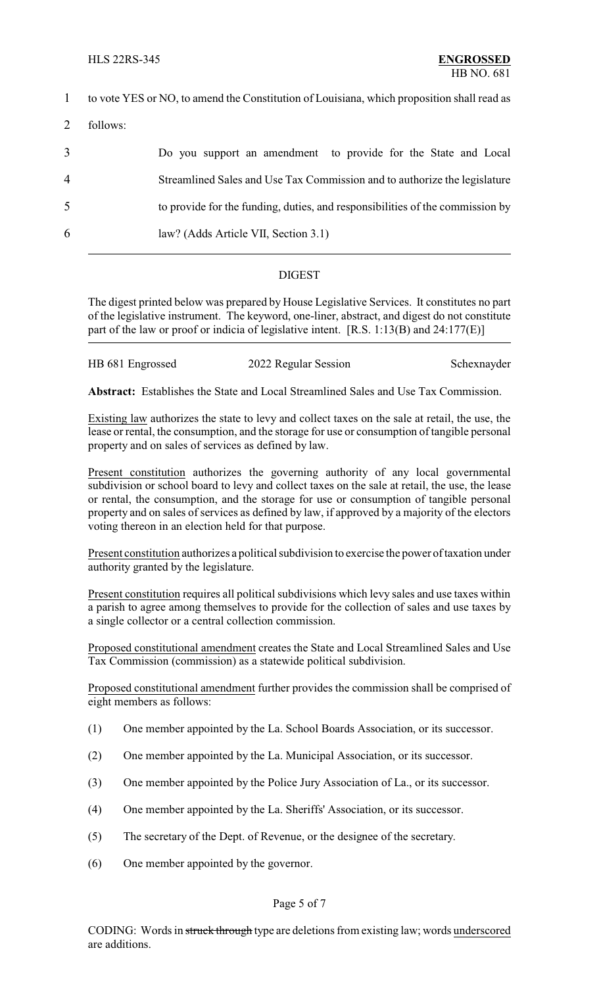| $\mathbf{1}$   |          | to vote YES or NO, to amend the Constitution of Louisiana, which proposition shall read as |
|----------------|----------|--------------------------------------------------------------------------------------------|
| 2              | follows: |                                                                                            |
| 3              |          | Do you support an amendment to provide for the State and Local                             |
| $\overline{4}$ |          | Streamlined Sales and Use Tax Commission and to authorize the legislature                  |
| 5              |          | to provide for the funding, duties, and responsibilities of the commission by              |
| 6              |          | law? (Adds Article VII, Section 3.1)                                                       |
|                |          |                                                                                            |

### DIGEST

The digest printed below was prepared by House Legislative Services. It constitutes no part of the legislative instrument. The keyword, one-liner, abstract, and digest do not constitute part of the law or proof or indicia of legislative intent. [R.S. 1:13(B) and 24:177(E)]

| HB 681 Engrossed<br>2022 Regular Session<br>Schexnayder |
|---------------------------------------------------------|
|---------------------------------------------------------|

**Abstract:** Establishes the State and Local Streamlined Sales and Use Tax Commission.

Existing law authorizes the state to levy and collect taxes on the sale at retail, the use, the lease or rental, the consumption, and the storage for use or consumption of tangible personal property and on sales of services as defined by law.

Present constitution authorizes the governing authority of any local governmental subdivision or school board to levy and collect taxes on the sale at retail, the use, the lease or rental, the consumption, and the storage for use or consumption of tangible personal property and on sales of services as defined by law, if approved by a majority of the electors voting thereon in an election held for that purpose.

Present constitution authorizes a political subdivision to exercise the power of taxation under authority granted by the legislature.

Present constitution requires all political subdivisions which levy sales and use taxes within a parish to agree among themselves to provide for the collection of sales and use taxes by a single collector or a central collection commission.

Proposed constitutional amendment creates the State and Local Streamlined Sales and Use Tax Commission (commission) as a statewide political subdivision.

Proposed constitutional amendment further provides the commission shall be comprised of eight members as follows:

- (1) One member appointed by the La. School Boards Association, or its successor.
- (2) One member appointed by the La. Municipal Association, or its successor.
- (3) One member appointed by the Police Jury Association of La., or its successor.
- (4) One member appointed by the La. Sheriffs' Association, or its successor.
- (5) The secretary of the Dept. of Revenue, or the designee of the secretary.
- (6) One member appointed by the governor.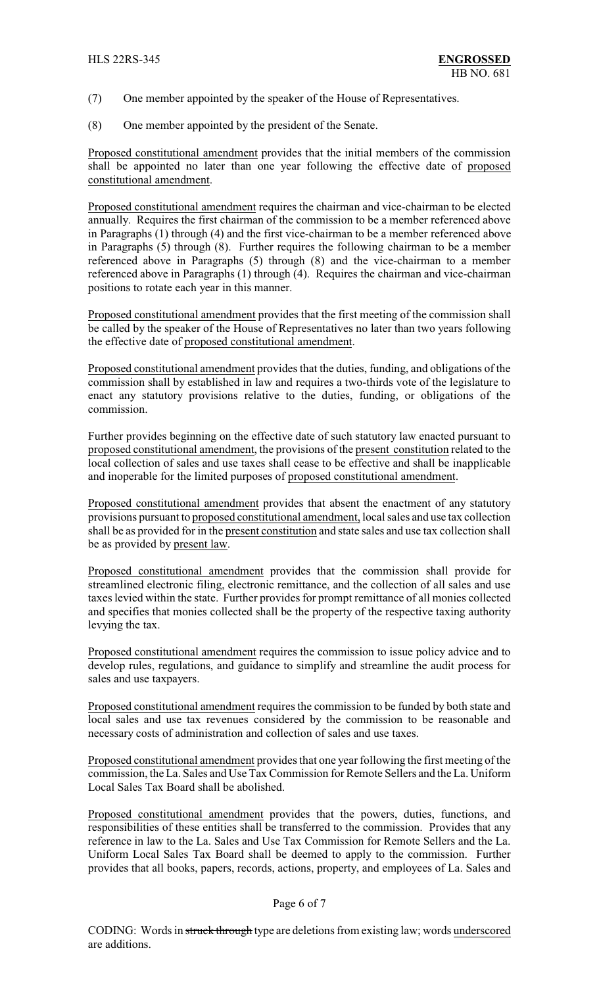- (7) One member appointed by the speaker of the House of Representatives.
- (8) One member appointed by the president of the Senate.

Proposed constitutional amendment provides that the initial members of the commission shall be appointed no later than one year following the effective date of proposed constitutional amendment.

Proposed constitutional amendment requires the chairman and vice-chairman to be elected annually. Requires the first chairman of the commission to be a member referenced above in Paragraphs (1) through (4) and the first vice-chairman to be a member referenced above in Paragraphs (5) through (8). Further requires the following chairman to be a member referenced above in Paragraphs (5) through (8) and the vice-chairman to a member referenced above in Paragraphs (1) through (4). Requires the chairman and vice-chairman positions to rotate each year in this manner.

Proposed constitutional amendment provides that the first meeting of the commission shall be called by the speaker of the House of Representatives no later than two years following the effective date of proposed constitutional amendment.

Proposed constitutional amendment provides that the duties, funding, and obligations of the commission shall by established in law and requires a two-thirds vote of the legislature to enact any statutory provisions relative to the duties, funding, or obligations of the commission.

Further provides beginning on the effective date of such statutory law enacted pursuant to proposed constitutional amendment, the provisions of the present constitution related to the local collection of sales and use taxes shall cease to be effective and shall be inapplicable and inoperable for the limited purposes of proposed constitutional amendment.

Proposed constitutional amendment provides that absent the enactment of any statutory provisions pursuant to proposed constitutional amendment, local sales and use tax collection shall be as provided for in the present constitution and state sales and use tax collection shall be as provided by present law.

Proposed constitutional amendment provides that the commission shall provide for streamlined electronic filing, electronic remittance, and the collection of all sales and use taxes levied within the state. Further provides for prompt remittance of all monies collected and specifies that monies collected shall be the property of the respective taxing authority levying the tax.

Proposed constitutional amendment requires the commission to issue policy advice and to develop rules, regulations, and guidance to simplify and streamline the audit process for sales and use taxpayers.

Proposed constitutional amendment requires the commission to be funded by both state and local sales and use tax revenues considered by the commission to be reasonable and necessary costs of administration and collection of sales and use taxes.

Proposed constitutional amendment provides that one year following the first meeting of the commission, the La. Sales and Use Tax Commission for Remote Sellers and the La. Uniform Local Sales Tax Board shall be abolished.

Proposed constitutional amendment provides that the powers, duties, functions, and responsibilities of these entities shall be transferred to the commission. Provides that any reference in law to the La. Sales and Use Tax Commission for Remote Sellers and the La. Uniform Local Sales Tax Board shall be deemed to apply to the commission. Further provides that all books, papers, records, actions, property, and employees of La. Sales and

### Page 6 of 7